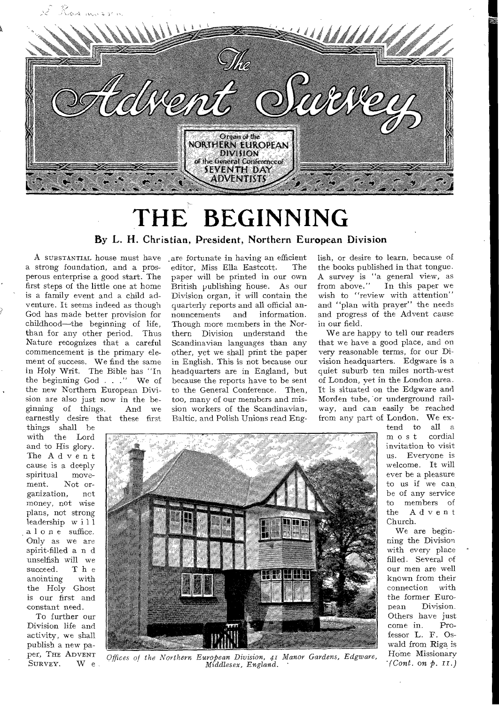

# **THE BEGINNING**

By L. H. Christian, President, Northern European Division

**A SUBSTANTIAL** house must have .are fortunate in having an efficient a strong foundation, and a prosperous enterprise a good start. The first steps of the little one at home is a family event and a child adventure. It seems indeed as though God has made better provision for childhood—the beginning of life, than for any other period. Thus Nature recognizes that a careful commencement is the primary element of success. We find the same in Holy Writ. The Bible has "In the beginning God . . ." We of the new Northern European Division are also just now in the beginning of things. And we earnestly desire that these first

things shall he with the Lord and to His glory. The Advent cause is a deeply<br>spiritual movespiritual<br>ment. Not or-<br>  $\frac{1}{2}$  not ganization, money, not wise plans, not strong leadership will alone suffice. Only as we are spirit-filled a n d unselfish will we<br>succeed. The succeed. The<br>anointing with anointing the Holy Ghost is our first and constant need.

To further our Division life and activity, we shall publish a new pa-<br>per, THE ADVENT editor, Miss Ella Eastcott. The paper will be printed in our own British publishing house. As our Division organ, it will contain the quarterly reports and all official an-<br>nouncements and information. nouncements and information. Though more members in the Northern Division understand the Scandinavian languages than any other, yet we shall print the paper in English. This is not because our headquarters are in England, but because the reports have to be sent to the General Conference. Then, too, many of our members and mission workers of the Scandinavian, Baltic, and Polish Unions read English, or desire to learn, because of the books published in that tongue. A survey is "a general view, as from above." In this paper we wish to "review with attention" and "plan with prayer" the needs and progress of the Advent cause in our field.

We are happy to tell our readers that we have a good place, and on very reasonable terms, for our Division headquarters. Edgware is a quiet suburb ten miles north-west of London, yet in the London area. It is situated on the Edgware and Morden tube, 'or underground railway, and can easily be reached from any part of London. We ex-



per, THE **ADVENT** *Offices of the Northern European Division, 41 Manor Gardens, Edgware,*   $Middlesex,$  *England.* 

tend to all a  $m$  ost invitation to visit us. Everyone is welcome. It will ever be a pleasure to us if we can be of any service to members of the Advent Church.

We are beginning the Division with every place filled. Several of our men are well known from their connection with the former Euro-<br>pean Division. Division. Others have just<br>come in. Procome in. fessor L. F. Oswald from Riga is Home Missionary  $\cdot$  *(Cont. on p. II.)*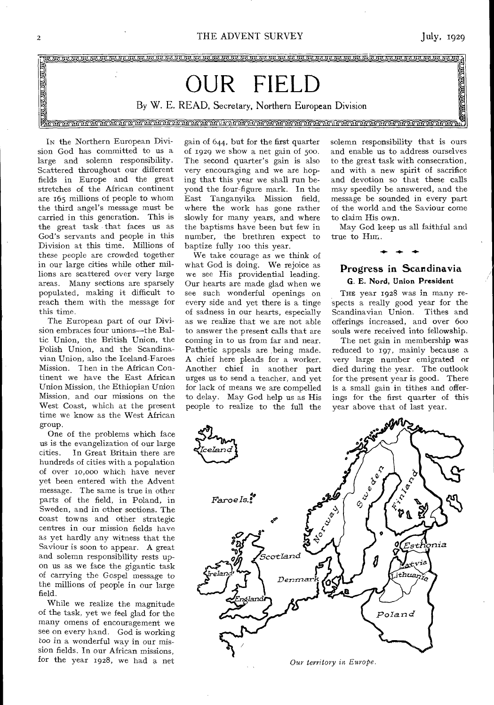THE ADVENT SURVEY

 $\int$ uly, 1929



In the Northern European Division God has committed to us a large and solemn responsibility. Scattered throughout our different fields in Europe and the great stretches of the African continent are 165 millions of people to whom the third angel's message must be carried in this generation. This is the great task that faces us as God's servants and people in this Division at this time. Millions of these people are crowded together in our large cities while other millions are scattered over very large areas. Many sections are sparsely populated, making it difficult to reach them with the message for this time.

The European part of our Division embraces four unions--the Baltic Union, the British Union, the Polish Union, and the Scandinavian Union, also the Iceland-Faroes Mission. Then in the African Continent we have the East African Union Mission, the Ethiopian Union Mission, and our missions on the West Coast, which at the present time we know as the West African group.

One of the problems which face us is the evangelization of our large In Great Britain there are cities. hundreds of cities with a population of over 10,000 which have never yet been entered with the Advent message. The same is true in other parts of the field, in Poland, in Sweden, and in other sections. The coast towns and other strategic centres in our mission fields have as yet hardly any witness that the Saviour is soon to appear. A great and solemn responsibility rests upon us as we face the gigantic task of carrying the Gospel message to the millions of people in our large field.

While we realize the magnitude of the task, yet we feel glad for the many omens of encouragement we see on every hand. God is working too in a wonderful way in our mission fields. In our African missions, for the year 1928, we had a net

gain of 644, but for the first quarter of 1929 we show a net gain of 500. The second quarter's gain is also very encouraging and we are hoping that this year we shall run beyond the four-figure mark. In the East Tanganyika Mission field, where the work has gone rather slowly for many years, and where the baptisms have been but few in number, the brethren expect to baptize fully 100 this year.

We take courage as we think of what God is doing. We rejoice as we see His providential leading. Our hearts are made glad when we see such wonderful openings on every side and yet there is a tinge of sadness in our hearts, especially as we realize that we are not able to answer the present calls that are coming in to us from far and near. Pathetic appeals are being made. A chief here pleads for a worker. Another chief in another part urges us to send a teacher, and yet for lack of means we are compelled to delay. May God help us as His people to realize to the full the

solemn responsibility that is ours and enable us to address ourselves to the great task with consecration, and with a new spirit of sacrifice and devotion so that these calls may speedily be answered, and the message be sounded in every part of the world and the Saviour come to claim His own.

May God keep us all faithful and true to Him.

#### Progress in Scandinavia G. E. Nord, Union President

THE year 1928 was in many respects a really good year for the Scandinavian Union. Tithes and offerings increased, and over 600 souls were received into fellowship.

The net gain in membership was reduced to 197, mainly because a very large number emigrated or died during the year. The outlook for the present year is good. There is a small gain in tithes and offerings for the first quarter of this year above that of last year.

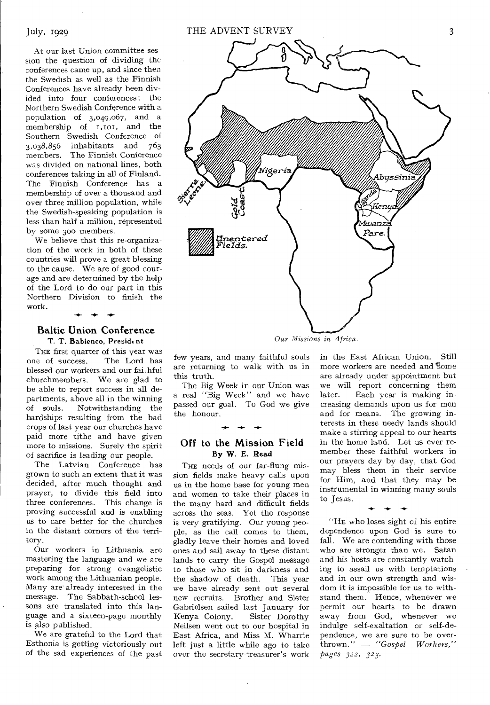At our last Union committee session the question of dividing the conferences came up, and since then the Swedish as well as the Finnish Conferences have already been divided into four conferences: the Northern Swedish Conference with a population of 3,049,067, and a membership of  $\overline{r}$ ,  $\overline{r}$  and the Southern Swedish Conference of 3,038,856 inhabitants and 763 The Finnish Conference was divided on national lines, both conferences taking in all of Finland The Finnish Conference has a membership of over a thousand and over three million population, while the Swedish-speaking population is less than half a million, represented by some 30o members.

We believe that this re-organization of the work in both of these countries will prove a great blessing to the cause. We are of good courage and are determined by the help of the Lord to do our part in this Northern Division to finish the work.

#### **Baltic Union Conference**  T. T. Babienco, President

THE first quarter of this year was<br>the of success. The Lord has one of success. blessed our workers and our fai,hful churchmembers. We are glad to be able to report success in all departments, above all in the winning<br>of souls. Notwithstanding the Notwithstanding the hardships resulting from the bad crops of last year our churches have paid more tithe and have given more to missions. Surely the spirit of sacrifice is leading our people.

The Latvian Conference has grown to such an extent that it was decided, after much thought and prayer, to divide this field into three conferences. This change is proving successful and is enabling us to care better for the churches in the distant corners of the territory.

Our workers in Lithuania are mastering the language and we are preparing for strong evangelistic work among the Lithuanian people. Many are already interested in the message. The Sabbath-school lessons are translated into this language and a sixteen-page monthly is also published.

We are grateful to the Lord that Esthonia is getting victoriously out of the sad experiences of the past



few years, and many faithful souls are returning to walk with us in this truth.

The Big Week in our Union was a real "Big Week" and we have passed our goal. To God we give the honour.

#### **Off to the Mission Field**  By W. E. Read

**-A^ -4- -4.-** 

THE needs of our far-flung mission fields make heavy calls upon us in the home base for young men and women to take their places in the many hard and difficult fields across the seas. Yet the response is very gratifying. Our young people, as the call comes to them, gladly leave their homes and loved ones and sail away to these distant lands to carry the Gospel message to those who sit in darkness and the shadow of death. This year we have already sent out several new recruits. Brother and Sister Gabrielsen sailed last January for<br>Kenya Colony. Sister Dorothy Kenya Colony. Neilsen went out to our hospital in East Africa, and Miss M. Wharrie left just a little while ago to take over the secretary-treasurer's work

in the East African Union. Still more workers are needed and  $\mbox{\$ome}$ are already under appointment but we will report concerning them later. Each year is making increasing demands upon us for men and for means. The growing interests in these needy lands should make a stirring appeal to our hearts in the home land. Let us ever remember these faithful workers in our prayers day by day, that God may bless them in their service for Him, and that they may be instrumental in winning many souls to Jesus.

"HE who loses sight of his entire dependence upon God is sure to fall. We are contending with those who are stronger than we. Satan and his hosts are constantly watching to assail us with temptations and in our own strength and wisdom it is impossible for us to withstand them. Hence, whenever we permit our hearts to be drawn away from God, whenever we indulge self-exaltation or self-dependence, we are sure to be over-<br>thrown." - "Gospel Workers."  $\text{thrown."}$   $\rightarrow$  "Gospel" *pages 322, 323.*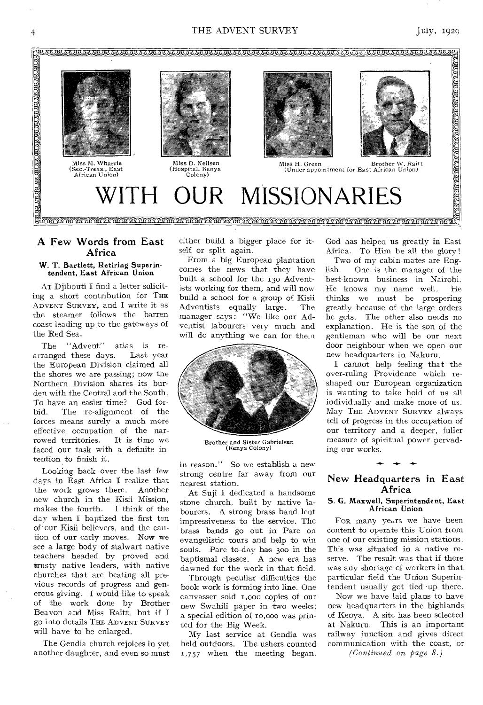#### 4 THE ADVENT SURVEY July, 1929



#### A Few Words from East Africa

#### w. T. Bartlett, Retiring Superintendent, East African Union

AT Djibouti I find a letter soliciting a short contribution for THE ADVENT SURVEY, and I write it as the steamer follows the barren coast leading up to the gateways of the Red Sea.

The "Advent" atlas is re-<br>ranged these days. Last year arranged these days. the European Division claimed all the shores we are passing; now the Northern Division shares its burden with the Central and the South. To have an easier time? God forbid. The re-alignment of the forces means surely a much more effective occupation of the nar-<br>rowed territories. It is time we rowed territories. faced our task with a definite intention to finish it.

Looking back over the last few days in East Africa I realize that the work grows there. Another new church in the Kisii Mission,<br>makes the fourth. I think of the makes the fourth. day when I baptized the first ten of our Kisii believers, and the caution of our early moves. Now we see a large body of stalwart native teachers headed by proved and trusty native leaders, with native churches that are beating all previous records of progress and generous giving. I would like to speak of the work done by Brother Beavon and Miss Raitt, but if I go into details THE ADVENT SURVEY will have to be enlarged.

The Gendia church rejoices in yet another daughter, and even so must either build a bigger place for itself or split again.

From a big European plantation comes the news that they have built a school for the 13o Adventists working for them, and will now build a school for a group of Kisii Adventists equally large. The manager says: "We like our Adventist labourers very much and will do anything we can for them



Brother and Sister Gabrielsen (Kenya Colony)

in reason." So we establish a new strong centre far away from our nearest station.

At Suji I dedicated a handsome stone church, built by native labourers. A strong brass band lent impressiveness to the service. The brass bands go out in Pare on evangelistic tours and help to win souls. Pare to-day has 30o in the baptismal classes. A new era has dawned for the work in that field.

Through peculiar difficulties the book work is forming into line. One canvasser sold r,000 copies of our new Swahili paper in two weeks; a special edition of ro,000 was printed for the Big Week.

My last service at Gendia was held outdoors. The ushers counted 1,757 when the meeting began.

God has helped us greatly in East Africa. To Him be all the glory !

Two of my cabin-mates are English. One is the manager of the best-known business in Nairobi.<br>He knows my name well. He He knows my name well. thinks we must be prospering greatly because of the large orders he gets. The other also needs no explanation. He is the son of the gentleman who will be our next door neighbour when we open our new headquarters in Nakuru.

I cannot help feeling that the over-ruling Providence which reshaped our European organization is wanting to take hold of us all individually and make more of us. May THE ADVENT SURVEY always tell of progress in the occupation of our territory and a deeper, fuller measure of spiritual power pervading our works.

#### New Headquarters in East Africa

#### S. G. Maxwell, Superintendent, East African Union

FOR many years we have been content to operate this Union from one of our existing mission stations. This was situated in a native reserve. The result was that if there was any shortage of workers in that particular field the Union Superintendent usually got tied -up there.

Now we have laid plans to have new headquarters in the highlands of Kenya. A site has been selected at Nakuru. This is an important railway junction and gives direct communication with the coast, or

*(Continued on page 8.)*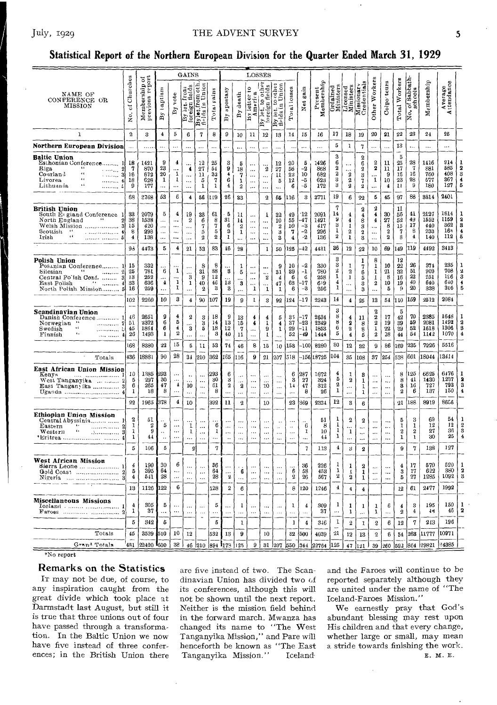#### THE ADVENT SURVEY

#### Statistical Report of the Northern European Division for the Quarter Ended March 31, 1929

|                                                                                                                                                                                    |                                             | ð                                     |                                         |                                                       | GAINS                                       |                                                |                                                           |                                         |                                       | LOSSES                                                                                                                                                                                                                                                                                                                                                                                                                                                                             |                                                                                                                                                                            |                                           |                                           |                                     |                                   |                                    |                                              |                                                                                                                                                                                                                                                                                                                                                                                                                                                                         |                                                            |                                                     |                                           |                               |                                   |                                   |                                                            |
|------------------------------------------------------------------------------------------------------------------------------------------------------------------------------------|---------------------------------------------|---------------------------------------|-----------------------------------------|-------------------------------------------------------|---------------------------------------------|------------------------------------------------|-----------------------------------------------------------|-----------------------------------------|---------------------------------------|------------------------------------------------------------------------------------------------------------------------------------------------------------------------------------------------------------------------------------------------------------------------------------------------------------------------------------------------------------------------------------------------------------------------------------------------------------------------------------|----------------------------------------------------------------------------------------------------------------------------------------------------------------------------|-------------------------------------------|-------------------------------------------|-------------------------------------|-----------------------------------|------------------------------------|----------------------------------------------|-------------------------------------------------------------------------------------------------------------------------------------------------------------------------------------------------------------------------------------------------------------------------------------------------------------------------------------------------------------------------------------------------------------------------------------------------------------------------|------------------------------------------------------------|-----------------------------------------------------|-------------------------------------------|-------------------------------|-----------------------------------|-----------------------------------|------------------------------------------------------------|
| NAME OF<br>CONFERENCE OR<br><b>MISSION</b>                                                                                                                                         | Churches<br>$\overline{\overline{6}}$<br>g. | report<br>Membership<br>previous repo | Laptism<br>By                           | $v$ ote<br>$\mathbf{B}$                               | fields<br>By let. for all                   | <b>Bylet.from oth</b><br>fields in Union       | $\mbox{\bf Total}$ gains                                  | apostasy<br>Βy                          | death<br>$\mathbf{B} \mathbf{y}$      | By letter to<br>America                                                                                                                                                                                                                                                                                                                                                                                                                                                            | $\overline{\text{other}}$<br>ftelds<br>$\frac{1}{\sqrt{\frac{1}{16}t}}$<br>$\begin{array}{c} \boxed{\mathbf{By} \ \mathbf{I}} \\ \text{for eig} \\ \mathbf{I} \end{array}$ | Union<br>to other<br>let.to<br>ay<br>fiel | Total losses                              | Net gain                            | Present<br>Membership             |                                    |                                              | $\fbox{\begin{tabular}{c} \multicolumn{2}{c}{\textbf{Ord} since}\\ \multicolumn{2}{c}{\textbf{M} in} &\\ \multicolumn{2}{c}{\textbf{M} in} &\\ \multicolumn{2}{c}{\textbf{M} in} &\\ \multicolumn{2}{c}{\textbf{M} in} &\\ \multicolumn{2}{c}{\textbf{M} in} &\\ \multicolumn{2}{c}{\textbf{M} in} &\\ \multicolumn{2}{c}{\textbf{M} in} &\\ \multicolumn{2}{c}{\textbf{M} in} &\\ \multicolumn{2}{c}{\textbf{M} in} &\\ \multicolumn{2}{c}{\textbf{M} in} &\\ \multic$ | Other Workers                                              | Colpo teurs                                         | Total Workers                             | of Sabbath-<br>schools<br>ls. | Membership                        | Average<br>Attendance             |                                                            |
| ı                                                                                                                                                                                  | $\overline{2}$                              | 3                                     | $\ddot{\textbf{4}}$                     | 5                                                     | 6                                           | $\boldsymbol{7}$                               | 8                                                         | 9                                       | 10                                    | 11                                                                                                                                                                                                                                                                                                                                                                                                                                                                                 | 12                                                                                                                                                                         | 13                                        | 14                                        | 15                                  | 16                                | 17                                 | 18                                           | 19                                                                                                                                                                                                                                                                                                                                                                                                                                                                      | $\bf 20$                                                   | 21                                                  | ${\bf 22}$                                | 23                            | 24                                | 25                                |                                                            |
| Northern European Division                                                                                                                                                         | $\ddotsc$                                   |                                       |                                         | $\ddotsc$                                             | .                                           | $\ddotsc$                                      | $\ddotsc$                                                 | $\cdots$                                |                                       | لمدد                                                                                                                                                                                                                                                                                                                                                                                                                                                                               | $\cdots$                                                                                                                                                                   |                                           | $\ddot{\phantom{a}}$                      | $\ddotsc$                           | $\ddotsc$                         | 5                                  | 1                                            | 7                                                                                                                                                                                                                                                                                                                                                                                                                                                                       |                                                            | $\ddotsc$                                           | 13                                        | $\ddotsc$                     |                                   | $\cdots$                          |                                                            |
| Baltic Union<br>Esthonian Conference<br>Riga<br>66<br>$\boldsymbol{2}$<br>$\sim$ 1000 km s<br>$\alpha$<br>Courland<br>.  31<br>44<br>Livorea<br>4<br>6.6<br>Lithuania<br>. 6       | 18<br>7<br>16<br>18<br>9                    | 1491<br>870<br>672<br>628<br>177      | 9<br>$\bf{23}$<br>20<br>1<br>$\ddotsc$  | 4<br><br>1<br>ı<br>$\ddotsc$                          | $\blacktriangleleft$<br><br><br>            | 12<br>27<br>11<br>5<br>$\mathbf 1$             | 25<br>54<br>$3\sqrt{2}$<br>7<br>$\mathbf 1$               | 3<br>9<br>4<br>6<br>$\overline{\bf{4}}$ | 5<br>18<br>7<br>1<br>$\boldsymbol{2}$ | $\cdots$<br><br>$\cdots$<br>$\ldots$                                                                                                                                                                                                                                                                                                                                                                                                                                               | $\boldsymbol{2}$<br><br>$\ddotsc$<br>.                                                                                                                                     | $^{12}$<br>27<br>11<br>5<br>              | 20<br>56<br>22<br>12<br>6                 | 5<br>-2<br>10<br>-5<br>$-5$         | 1426<br>868<br>682<br>623<br>172  | 3<br>6<br>2<br>2<br>3<br>3         | <br>$\boldsymbol{\Omega}$<br>2<br>$\bf 2$    | $\overline{2}$<br>6<br>$\boldsymbol{2}$<br>3<br>7<br>$\bf 2$                                                                                                                                                                                                                                                                                                                                                                                                            | $\mathbf{2}$<br>$\boldsymbol{2}$<br>1                      | 11<br>11<br>9<br>10<br>$\overline{\mathbf{4}}$      | 5<br>25<br>17<br>16<br>23<br>$\mathbf{1}$ | 28<br>7<br>16<br>28<br>9      | 1416<br>881<br>760<br>577<br>180  | 914<br>585<br>408<br>367<br>127   | $\boldsymbol{2}$<br>8<br>4<br>5                            |
|                                                                                                                                                                                    | 68                                          | 2768                                  | 53                                      | 6                                                     | 4                                           | 56                                             | 119                                                       | 26                                      | 83                                    |                                                                                                                                                                                                                                                                                                                                                                                                                                                                                    | $\bf 2$                                                                                                                                                                    | 55                                        | 116                                       | 3                                   | 3771                              | 19                                 | 6                                            | 22                                                                                                                                                                                                                                                                                                                                                                                                                                                                      | 5                                                          | 45                                                  | 97                                        | 88                            | 3814                              | 2401                              |                                                            |
| British Union<br>South Et gland Conference 1<br>$\mathbf{2}$<br>North England<br>3<br>Welsh Mission<br>Scottish<br>4<br>$\epsilon$<br>Irish<br>5                                   | 33<br>38<br>15<br>8<br>$\overline{4}$       | 2079<br>1538<br>420<br>298<br>138     | 5<br>$\ldots$<br>$\ddotsc$<br>$\ddotsc$ | 4<br><br>$\ddotsc$<br>                                | 19<br>$\boldsymbol{2}$<br>$\ddotsc$<br><br> | 33<br>6<br>7<br>5<br>$\overline{2}$            | 61<br>8<br>7<br>$\overline{5}$<br>$\overline{\mathbf{2}}$ | 5<br>31<br>6<br>$\mathbf{B}$<br>1       | 11<br>14<br>2<br>1                    | <br>$\cdots$<br>$\ddotsc$<br>$\ddotsc$                                                                                                                                                                                                                                                                                                                                                                                                                                             | 1<br><br><br>$\ddotsc$<br>$\ddotsc$                                                                                                                                        | 32<br>10<br>$\overline{2}$<br>з<br>3      | 49<br>55<br>10<br>7<br>$\overline{\bf 4}$ | 12<br>47<br>-3<br>$-2$<br>$-2$      | 2091<br>1491<br>417<br>296<br>136 | 7<br>14<br>9<br>3<br>1<br>$\bf 2$  | $\bf 4$<br>4<br>1<br>$\,2\,$<br>$\mathbf{1}$ | $\overline{\mathbf{2}}$<br>4<br>8<br>3<br>$\boldsymbol{2}$<br>3                                                                                                                                                                                                                                                                                                                                                                                                         | $\dot{2}$<br>4<br>$\overline{\mathbf{4}}$<br><br>$\ddotsc$ | 30<br>27<br>8<br>$\overline{2}$<br>$\boldsymbol{2}$ | 11<br>56<br>52<br>15<br>7<br>8            | 41<br>49<br>17<br>8<br>4      | 2127<br>1552<br>440<br>233<br>140 | 1614<br>1159<br>362<br>16n<br>112 | ٦<br>$\boldsymbol{2}$<br>3<br>$\overline{\mathbf{4}}$<br>5 |
|                                                                                                                                                                                    | 93                                          | 4473                                  | 5                                       | 4                                                     | 21                                          | 53                                             | 83                                                        | 46                                      | 28                                    |                                                                                                                                                                                                                                                                                                                                                                                                                                                                                    | $\mathbf{1}$                                                                                                                                                               | 50                                        | 125                                       | 42                                  | 4431                              | 36                                 | 12                                           | $^{22}$                                                                                                                                                                                                                                                                                                                                                                                                                                                                 | 10                                                         | 69                                                  | 149                                       | 119                           | 4492                              | 3413                              |                                                            |
| Polish Union<br>Posanian Conference 1<br>6.6<br>Silesian<br>Central Po'ish Conf.<br>$\cdots$ $3$<br>$\Omega_{\rm{max}}$<br>$\overline{4}$<br>East Polish<br>North Polish Mission 5 | 15<br>25<br>-13<br>33<br>16                 | 332<br>781<br>252<br>636<br>259       | 6<br>$\overline{\mathbf{4}}$<br>        | 1<br>1<br>1                                           | <br>3<br>1<br>$\ddotsc$                     | 8<br>31<br>9<br>40<br>$\boldsymbol{2}$         | 8<br>38<br>12<br>46<br>3                                  | 8<br>13<br>3                            | 1<br>5<br>3<br>                       | $\ddotsc$<br>$\ddotsc$<br><br>$\ddotsc$<br>1                                                                                                                                                                                                                                                                                                                                                                                                                                       | <br>$\boldsymbol{2}$<br>1                                                                                                                                                  | 9<br>31<br>$\overline{4}$<br>47<br>1      | 10<br>39<br>6<br>63<br>6                  | -2<br>$-1$<br>6<br>$-17$<br>$^{-3}$ | 330<br>780<br>258<br>619<br>256   | 3<br>3<br>2<br>1<br>4<br>1         | 1<br>$\mathbf{2}$<br>1<br>                   | 1<br>7<br>6<br>5<br>3<br>3                                                                                                                                                                                                                                                                                                                                                                                                                                              | 8<br>1<br>1<br>1<br>$\boldsymbol{2}$<br>                   | 10<br>21<br>8<br>10<br>5                            | 12<br>22<br>32<br>16<br>19<br>9           | 26<br>51<br>22<br>40<br>20    | 374<br>909<br>251<br>640<br>338   | 235<br>708<br>196<br>610<br>305   | L<br>-2<br>3<br>4<br>5                                     |
|                                                                                                                                                                                    | 102                                         | 2260                                  | 10                                      | 3                                                     | $\boldsymbol{4}$                            | 90                                             | 107                                                       | 19                                      | 9                                     | $\mathbf{I}% _{t}\left  \mathbf{I}_{t}\right  ^{-1}\left  \mathbf{I}_{t}\right  ^{-1}\left  \mathbf{I}_{t}\right  ^{-1}\left  \mathbf{I}_{t}\right  ^{-1}\left  \mathbf{I}_{t}\right  ^{-1}\left  \mathbf{I}_{t}\right  ^{-1}\left  \mathbf{I}_{t}\right  ^{-1}\left  \mathbf{I}_{t}\right  ^{-1}\left  \mathbf{I}_{t}\right  ^{-1}\left  \mathbf{I}_{t}\right  ^{-1}\left  \mathbf{I}_{t}\right  ^{-1}\left  \mathbf{I}_{t}\right  ^{-1}\left  \mathbf{I}_{t}\right  ^{-1}\left $ | $^{\rm 3}$                                                                                                                                                                 | 92                                        | 124                                       | $-17$                               | 2243                              | 14                                 | $\boldsymbol{4}$                             | 25                                                                                                                                                                                                                                                                                                                                                                                                                                                                      | 13                                                         | 54                                                  | 110                                       | 159                           | 2512                              | 2084                              |                                                            |
| Scandinavian Union<br>Danish Conference<br>1<br>Norwegian "<br>. 21<br>$\mathbf{v}$<br>Swedish<br>&<br>$\epsilon$ .<br>Finnish                                                     | 46<br>51<br>45<br>26                        | 2651<br>2372<br>1864<br>1493          | g<br>6<br>6<br>1                        | 4<br>5<br>4<br>$\ddot{2}$                             | 2<br>3<br>$\ddotsc$                         | 8<br>3<br>5<br>$\ddotsc$                       | 18<br>14<br>18<br>3                                       | 9<br>13<br>12<br>40                     | 13<br>15<br>7<br>11                   | 4<br>                                                                                                                                                                                                                                                                                                                                                                                                                                                                              | 4<br>1<br>9<br>$\mathbf 1$                                                                                                                                                 | 5<br>4<br>1<br>$\ddot{\phantom{a}}$       | 35<br>37<br>29<br>52                      | -17<br>-23<br>-11<br>-49            | 2634<br>2349<br>1853<br>1444      | 3<br>8<br>8<br>6<br>5              | 4<br>$\overline{2}$<br>$\overline{2}$<br>4   | 11<br>8<br>8<br>5                                                                                                                                                                                                                                                                                                                                                                                                                                                       | 2<br>$\bf 2$<br>$\bf 2$<br>1<br>$\boldsymbol{2}$           | 17<br>19<br>22<br>28                                | 5<br>42<br>39<br>39<br>44                 | 70<br>59<br>52<br>54          | 2385<br>2081<br>1618<br>1142      | 1648<br>1492<br>1306<br>1070      | 9<br>3<br>4                                                |
|                                                                                                                                                                                    | 168                                         | 8380                                  | 22                                      | 15                                                    | 5                                           | $\mathbf{u}$                                   | 53                                                        | 74                                      | 46                                    | 8                                                                                                                                                                                                                                                                                                                                                                                                                                                                                  | 15                                                                                                                                                                         | 10                                        | 153                                       | $-100$                              | 8280                              | 80                                 | 12                                           | 32                                                                                                                                                                                                                                                                                                                                                                                                                                                                      | 9                                                          | 86                                                  | 169                                       | 235                           | 7226                              | 5516                              |                                                            |
| Totals                                                                                                                                                                             | 436                                         | 18881                                 | 90                                      | 28                                                    | 34                                          | 210                                            | 362                                                       | 165                                     | 116                                   | 9                                                                                                                                                                                                                                                                                                                                                                                                                                                                                  | 21                                                                                                                                                                         | 207                                       | 518                                       | -156                                | 18725                             | 104                                | 35                                           | 108                                                                                                                                                                                                                                                                                                                                                                                                                                                                     | 37                                                         | 254                                                 | 538                                       | 601                           | 18044                             | 13414                             |                                                            |
| East African Union Mission<br>Kenva<br>$\cdots \cdots \cdots$<br>West Tanganyika<br>$\overline{2}$<br>East Tanganyika  3<br>Uganda  4                                              | 10<br>5<br>6<br>1                           | 1385<br>297<br>265<br>18              | 293<br>$30\,$<br>47<br>8                | $\ddotsc$<br>$\ddotsc$<br>$\overline{1}$<br>$\ddotsc$ | $10\,$<br>$\cdot$ .                         | <br><br>$\ddotsc$                              | 293<br>30<br>61<br>8                                      | 6<br>-3<br>$\boldsymbol{2}$<br>$\sim$   | $\ddotsc$<br>$\bf{2}$<br>$\cdots$     | $\ddotsc$<br><br>$\ddot{\phantom{a}}$                                                                                                                                                                                                                                                                                                                                                                                                                                              | $\ddotsc$<br>10<br>$\ddotsc$                                                                                                                                               | $\ddotsc$<br>$\ddotsc$<br><br>            | 6<br>3<br>14<br>$\cdots$                  | 287<br>27<br>47<br>8                | 1672<br>324<br>312<br>26          | 4<br>5<br>$\bf{2}$<br>$\mathbf{1}$ | -1<br>2<br>.<br>$\cdots$                     | 8<br>1<br>1<br>1                                                                                                                                                                                                                                                                                                                                                                                                                                                        | $\cdots$<br><br>$\ddotsc$                                  | $\ddotsc$<br>$\ddotsc$<br>$\ddotsc$<br>$\ddotsc$    | 8<br>8<br>8<br>$\boldsymbol{2}$           | 125<br>41<br>16<br>-6         | 6625<br>1430<br>727<br>137        | 6476<br>1237<br>793<br>150        | 2<br>3<br>4                                                |
|                                                                                                                                                                                    | 22                                          | 1965                                  | 378                                     | 4                                                     | 10                                          |                                                | 392                                                       | 11                                      | 2                                     |                                                                                                                                                                                                                                                                                                                                                                                                                                                                                    | 10                                                                                                                                                                         |                                           | 23                                        | 369                                 | 2334                              | 12                                 | 3                                            | 6                                                                                                                                                                                                                                                                                                                                                                                                                                                                       |                                                            |                                                     | 21                                        | 188                           | 8919                              | 8656                              |                                                            |
| Ethiopian Union Mission<br>Central Abyssinia<br>$\ddot{\phantom{a}}$<br>Eastern<br>${\bf w}_{\tt est\epsilon\,rn}$<br>. ).<br>з                                                    | $\boldsymbol{2}$<br>1<br>1<br>1             | 51<br>2<br>9<br>44                    | 5                                       | <br>$\ddotsc$                                         | 1<br>1<br>                                  | $\ddotsc$<br>$\cdots$<br>$\cdots$<br>$\ddotsc$ | 6<br>1<br>$\ddotsc$                                       | $\cdots$<br>.<br>$\ddot{\phantom{0}}$   | $\ddotsc$<br><br>                     | $\cdots$<br>.<br>$\cdots$                                                                                                                                                                                                                                                                                                                                                                                                                                                          | $\ddotsc$<br>$\ldots$<br>$\cdots$<br>$\ddotsc$                                                                                                                             | $\ddot{\phantom{1}}$<br>.<br>             | $\ddot{\phantom{a}}$<br><br>$\ddotsc$     | 6<br>1<br>                          | 51<br>8<br>10<br>44               | 1<br>1<br>1<br>ı                   | $\overline{2}$<br>1<br>                      | $\boldsymbol{2}$<br>$\ddotsc$<br>$\ddotsc$                                                                                                                                                                                                                                                                                                                                                                                                                              | <br><br>$\ddotsc$<br>                                      | $\ddotsc$<br>$\cdots$<br>                           | 5<br>1<br>$\overline{2}$<br>1             | 3<br>1<br>$^{9}$<br>1         | 69<br>12<br>27<br>30              | 54<br>12<br>36<br>25              | 9<br>3<br>4                                                |
|                                                                                                                                                                                    | 5                                           | 106                                   | 5                                       |                                                       | $\mathfrak{p}$                              |                                                | 7                                                         |                                         |                                       |                                                                                                                                                                                                                                                                                                                                                                                                                                                                                    |                                                                                                                                                                            |                                           |                                           | $\overline{1}$                      | 113                               | $\overline{\mathbf{4}}$            | 3                                            | $\overline{2}$                                                                                                                                                                                                                                                                                                                                                                                                                                                          |                                                            |                                                     | 9                                         | 7                             | 138                               | 127                               |                                                            |
| West African Mission<br>Sierra Leone<br>Gold Coast<br>Nigeria   3                                                                                                                  | $\overline{4}$<br>Б<br>4                    | 190<br>395<br>541                     | 30<br>64<br>28                          | 6<br><br>$\cdots$                                     | <br>$\ddotsc$                               | $\ddotsc$<br>$\ddotsc$                         | 36<br>64<br>28                                            | -2                                      | 6<br>$\ddotsc$                        | $\ddotsc$<br>$\ddotsc$                                                                                                                                                                                                                                                                                                                                                                                                                                                             | $\ddotsc$<br>$\ddotsc$<br>$\ddotsc$                                                                                                                                        | $\ddotsc$<br><br>$\ddotsc$                | 6<br>2                                    | 36<br>58<br>26                      | 226<br>453<br>567                 | 1<br>1<br>$\bf 2$                  | 1<br>-1<br>2                                 | 2<br>1<br>1                                                                                                                                                                                                                                                                                                                                                                                                                                                             | <br><br>$\cdots$                                           | $\ddotsc$<br>$\ddotsc$<br>$\ddotsc$                 | 4<br>3<br>5                               | 17<br>17<br>27                | 570<br>622<br>1285                | 520<br>380<br>1092                | 3                                                          |
|                                                                                                                                                                                    | 13                                          | 1126                                  | 122                                     | 6                                                     |                                             |                                                | 128                                                       | $\overline{2}$                          | 6                                     |                                                                                                                                                                                                                                                                                                                                                                                                                                                                                    |                                                                                                                                                                            |                                           | 8                                         | 120                                 | 1246                              | 4                                  | $\ddot{\textbf{4}}$                          | 4                                                                                                                                                                                                                                                                                                                                                                                                                                                                       |                                                            |                                                     | 12                                        | 61                            | 2477                              | 1992                              |                                                            |
| Miscellaneous Missions<br>Iceland                                                                                                                                                  | 4<br>1                                      | 305<br>37                             | Б                                       | $\ddotsc$                                             | $\cdots$                                    | $\ddotsc$<br>$\ddotsc$<br>$\overline{a}$       | 5                                                         |                                         | 1                                     | $\ddotsc$<br>$\ddotsc$                                                                                                                                                                                                                                                                                                                                                                                                                                                             | <br>$\ddotsc$                                                                                                                                                              | $\ldots$                                  | 1<br>                                     | $\overline{4}$<br>.                 | 309<br>37                         | 1<br>$\ddotsc$                     | 1<br>1                                       | 1<br>$\ddotsc$                                                                                                                                                                                                                                                                                                                                                                                                                                                          | 1<br>1                                                     | 6<br>$\ddot{\phantom{a}}$                           | 4<br>$\boldsymbol{2}$                     | 3<br>4                        | 195<br>41                         | 150<br>46                         | 2                                                          |
|                                                                                                                                                                                    | 5                                           | 342                                   | б                                       |                                                       |                                             |                                                | 5                                                         |                                         | 1                                     |                                                                                                                                                                                                                                                                                                                                                                                                                                                                                    |                                                                                                                                                                            |                                           | $\mathbf{1}$                              | $\overline{\mathbf{4}}$             | 346                               | 1                                  | $\,2\,$                                      | 1                                                                                                                                                                                                                                                                                                                                                                                                                                                                       | $\boldsymbol{2}$                                           | 6                                                   | 12                                        | $\overline{7}$                | 243                               | 196                               |                                                            |
| Totals                                                                                                                                                                             | 45                                          | 3539                                  | 510                                     | 10                                                    | 12                                          |                                                | 532                                                       | 13                                      | $\boldsymbol{9}$                      |                                                                                                                                                                                                                                                                                                                                                                                                                                                                                    | 10                                                                                                                                                                         |                                           | 32                                        | 500                                 | 4039                              | $21\,$                             | 12                                           | 13                                                                                                                                                                                                                                                                                                                                                                                                                                                                      | $\boldsymbol{2}$                                           | 6                                                   | 54                                        | 263                           | 11777                             | 10971                             |                                                            |
| Grand Totals                                                                                                                                                                       | 481                                         | 22420                                 | -600                                    | 38                                                    | 46                                          | 210                                            | 894                                                       | <b>1</b> 173                            | 125                                   | 9                                                                                                                                                                                                                                                                                                                                                                                                                                                                                  | 31                                                                                                                                                                         | 1207                                      | 1550                                      | 344]                                | 22764                             | 125                                | 47                                           | 121                                                                                                                                                                                                                                                                                                                                                                                                                                                                     | 39                                                         | 260                                                 | 592                                       | 864                           | 29821                             | 24385                             |                                                            |

\*No report

#### Remarks on the Statistics

It may not be due, of course, to any inspiration caught from the great divide which took place at Darmstadt last August, but still it is true that three unions out of four have passed through a transformation. In the Baltic Union we now have five instead of three conferences; in the British Union there

are five instead of two. The Scandinavian Union has divided two of its conferences, although this will not be shown until the next report. Neither is the mission field behind in the forward march. Mwanza has changed its name to "The West Tanganyika Mission," and Pare will henceforth be known as "The East Tanganyika Mission." Iceland

and the Faroes will continue to be reported separately although they are united under the name of "The Iceland-Faroes Mission."

We earnestly pray that God's abundant blessing may rest upon His children and that every change, whether large or small, may mean a stride towards finishing the work. E. M. E.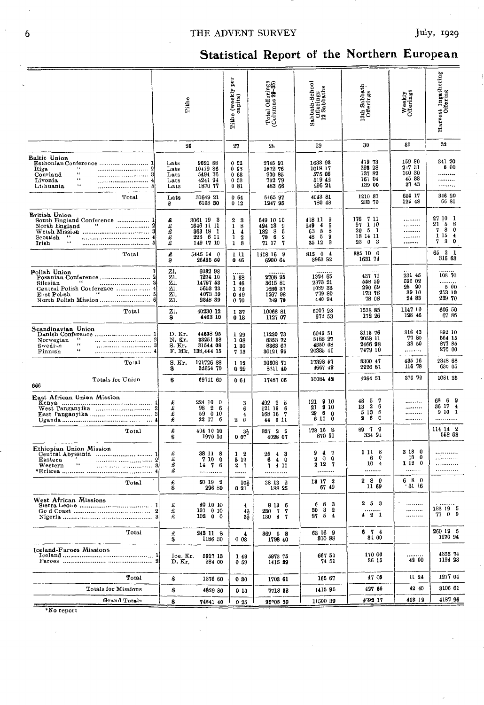### THE ADVENT SURVEY

# Statistical Report of the Northern European

|                                                                                                                                               | Tithe                                  |                                                                  | ğ<br>e (weekly )<br>capita)<br>Tithe                                                        | Total Offerings<br>(Columns 29-35)                                                  | Sabbath-School<br>Offerings<br>12 Sabbaths                                                 | 13th Sabbath<br>Offerings                                                         | Weekly<br>Offerings                        | Harvest Ingathering<br>Offering                                                                   |
|-----------------------------------------------------------------------------------------------------------------------------------------------|----------------------------------------|------------------------------------------------------------------|---------------------------------------------------------------------------------------------|-------------------------------------------------------------------------------------|--------------------------------------------------------------------------------------------|-----------------------------------------------------------------------------------|--------------------------------------------|---------------------------------------------------------------------------------------------------|
|                                                                                                                                               |                                        | 26                                                               | 27                                                                                          | 28                                                                                  | 29                                                                                         | 30                                                                                | 31                                         | 32                                                                                                |
| Baltic Union<br>Esthonian Conference   1<br>$\cdots$<br>Riga<br>٤ć<br>Courland<br>$\overline{6}$<br>Livonia<br>$\mathbf{14}$<br><br>Lichuania | Lats<br>Lats<br>Lats<br>Lats<br>Lats   | 9621 88<br>1041986<br>5491 76<br>424194<br>1870 77               | 052<br>093<br>063<br>053<br>081                                                             | 2745 91<br>1572 76<br>930 85<br>752 79<br>483 66                                    | 1633 93<br>1018 17<br>575 05<br>519 42<br>296 24                                           | 479 73<br>293 28<br>137 82<br>161 04<br>139 00                                    | 159 80<br>21731<br>100 30<br>45 33<br>3743 | 341 20<br>5 00<br>.<br>.<br>                                                                      |
| Total                                                                                                                                         | Lats<br>S                              | 31649 21<br>6108 80                                              | 064<br>012                                                                                  | 6465 97<br>1247 95                                                                  | 4043 81<br>780 48                                                                          | 1210 87<br>233 70                                                                 | 650 17<br>125 48                           | 346 20<br>66 81                                                                                   |
| <b>British Union</b><br>South England Conference  1<br>North England<br>Scottish<br>66<br>Irish                                               | S<br>لا علم علم<br>£                   | 3061 19 3<br>1646 11 11<br>363 18<br>-1<br>223 6 11<br>149 17 10 | -8<br>2<br>$\mathbf{1}$<br>8<br>1<br>$\overline{\mathbf{4}}$<br>$\boldsymbol{2}$<br>1<br>18 | 649 10 10<br>494 13 9<br>132 8<br>- 5<br>70 6<br>$\overline{\mathbf{2}}$<br>71 17 7 | 418 11<br>9<br>$\overline{4}$<br>249<br>6<br>- 5<br>63<br>8<br>-5<br>9<br>48<br>8<br>35 12 | 176<br>-7 11<br>97 1 10<br>$20\quad 5\quad 1$<br>18 14 11<br>23<br>0 <sub>3</sub> | <br><br><br><br>                           | 27 10 1<br>5<br>21<br>8<br>- 8<br>7<br>$\bf{0}$<br>1 15<br>$\overline{\mathbf{A}}$<br>3<br>7<br>0 |
| Total                                                                                                                                         | £<br>\$                                | 5445 14 0<br>26485 50                                            | 1 11<br>0 46                                                                                | 1418 16 9<br>6900 64                                                                | 815 0 4<br>3963 92                                                                         | 335 10 0<br>1631 74                                                               |                                            | 65 2 1<br>316 63                                                                                  |
| Polish Union<br>Posanian Conference<br>66<br>Silesian<br>Central Polish Conference   4<br>64.00<br>. 5<br>E ist Polish                        | Zl.<br>Zì.<br>Zı.<br>Z1.<br>ZI.<br>Ζ1. | 6082 98<br>7274 10<br>14797 53<br>5653 73<br>1073 39<br>2348 39  | .<br>168<br>1 46<br>172<br>049<br>0.70                                                      | 2708 95<br>8615 81<br>1686 37<br>1267 98<br>789 70                                  | 1324 65<br>2373 21<br>1039 33<br>779 80<br>440 94                                          | 437 71<br>558 59<br>290 69<br>173 78<br>78 08                                     | 231 45<br>596 02<br>25 20<br>39 10<br>2483 | 108 70<br>.<br>500<br>253 10<br>239 70                                                            |
| Total                                                                                                                                         | zı.<br>\$                              | 40230 12<br>4463 10                                              | 137<br>013                                                                                  | 10068 81<br>1127 07                                                                 | 600793<br>672 53                                                                           | 1538 85<br>172 26                                                                 | 1147 (0)<br>128 46                         | 606 50<br>6786                                                                                    |
| Scandinavian Union<br>$\cdots$<br>2<br>Norwegian<br>$\epsilon$<br>8<br>Swedish<br>$\bullet$<br>Finnish<br>                                    | D. Kr.<br>N. Kr.<br>S. Kr.             | 44608 95<br>33251 38<br>31544 08<br>F. Mk. 138,444 15            | 1 29<br>1 08<br>1 30<br>7 13                                                                | 11220 73<br>8353 72<br>8363 67<br>30121 95                                          | 6049 51<br>5188 27<br>4350 08<br>20335 40                                                  | 3115 76<br>2058 11<br>2466 98<br>7479 10                                          | 316 43<br>77 80<br>33 50<br>               | 892 10<br>564 15<br>877 85<br>276 00                                                              |
| Total                                                                                                                                         | S. Kr.<br>\$                           | 121726 88<br>32654 70                                            | 1 12<br>0.29                                                                                | 30608 71<br>3211 40                                                                 | 17398 57<br>4667 49                                                                        | 8300 47<br>2226 81                                                                | 435 16<br>116 78                           | 2348 68<br>630 05                                                                                 |
| Totals for Union<br>666                                                                                                                       | \$                                     | 69711 60                                                         | 064                                                                                         | 17487 06                                                                            | 10084 42                                                                                   | 4264 51                                                                           | 370 72                                     | 1081 35                                                                                           |
| East African Union Mission<br>West Tanganyika  2                                                                                              | £<br>£<br>£<br>£                       | 224 10 0<br>98<br>2 6<br>59<br>010<br>22 17 6                    | 3<br>6<br>4<br>2<br>$\bf{0}$                                                                | $492$ $2$ $5$<br>121 19<br>6<br>168 16 7<br>44 3 11                                 | $121$ 9 10<br>$21$ 9 10<br>29<br>- 6<br>$\Omega$<br>611<br>$\bf{0}$                        | - 7<br>485<br>$13 \quad 2$<br>-6<br>5 13<br>8<br>2<br>6<br>0                      | <br><br><br>                               | 69<br>68<br>36 17 4<br>9101<br>.                                                                  |
| Total                                                                                                                                         | £<br>\$                                | 404 10 10<br>1970 10                                             | $3\frac{1}{2}$<br>0 07                                                                      | 827 2 5<br>4028 07                                                                  | 178 16 8<br>870 91                                                                         | 79<br>69.<br>334 93                                                               |                                            | 114 14 2<br>558 63                                                                                |
| Ethiopian Union Mission<br>Central Abyssinia   1<br>Eastern<br>r.<br>Western                                                                  | £<br>£<br>£<br>£                       | 38 11 8<br>7 10 0<br>$14 \t7 \t6$<br>.                           | $1\quad 2$<br>5 10<br>$2 \t-7$<br>                                                          | 25 4 3<br>6<br>40<br>7 4 11<br>                                                     | 9<br>$\blacktriangleleft$<br>7<br>$2 \quad 0$<br>0<br>2 12 7                               | 1 11<br>-8<br>6<br>0<br>10<br>$\overline{4}$<br>                                  | 3 18 0<br>18 <sub>0</sub><br>1120<br>      | .<br>.<br>.<br>.                                                                                  |
| Total                                                                                                                                         | £<br>\$                                | 50 19 2<br>296 80                                                | 101<br>021                                                                                  | 38 13 2<br>188 25                                                                   | 13 17 2<br>6745                                                                            | 2<br>- 8<br>- 0<br>11 69                                                          | 680<br>31 16                               |                                                                                                   |
| West African Missions                                                                                                                         | £<br>£                                 | 40 10 10<br>101 0 10<br>$102 \t 0 \t 0$                          | 4<br>$4\frac{1}{2}$<br>ЗŞ                                                                   | 8 13 6<br>230 7<br>7<br>130 4 7                                                     | $\boldsymbol{8}$<br>3<br>6<br>30 3 2<br>27 5 4                                             | 253<br>$4\quad 2\quad 1$                                                          | <br><br>                                   | 183 19 5<br>77 0 0                                                                                |
| Total                                                                                                                                         | 毛鲁                                     | 243 11 8<br>1186 30                                              | 008                                                                                         | 369 5 8<br>1798 40                                                                  | 63 16 9<br>310 88                                                                          | 6 7 4<br>31 00                                                                    |                                            | 260 19 5<br>1270 94                                                                               |
| Iceland-Faroes Missions                                                                                                                       | Ice. Kr.<br>D. Kr.                     | 5917 13<br>284 00                                                | 149<br>059                                                                                  | 5973 75<br>1415 89                                                                  | 667 51<br>74 51                                                                            | 170 00<br>36 15                                                                   | <br>42 00                                  | 4353 74<br>1194 23                                                                                |
| Total                                                                                                                                         | \$                                     | 1376 60                                                          | 030                                                                                         | 1703 61                                                                             | 166 67                                                                                     | 47 05                                                                             | 11 24                                      | 1277 04                                                                                           |
| Totals for Missions<br>Grand Totals                                                                                                           | \$                                     | 4829 80                                                          | 010                                                                                         | 7718 33                                                                             | 141595                                                                                     | 427 66<br>4692 17                                                                 | 42 40<br>413 12                            | 3106 61<br>418796                                                                                 |
|                                                                                                                                               | \$                                     | 74541 40                                                         | 025                                                                                         | 25°05 39                                                                            | 11500 39                                                                                   |                                                                                   |                                            |                                                                                                   |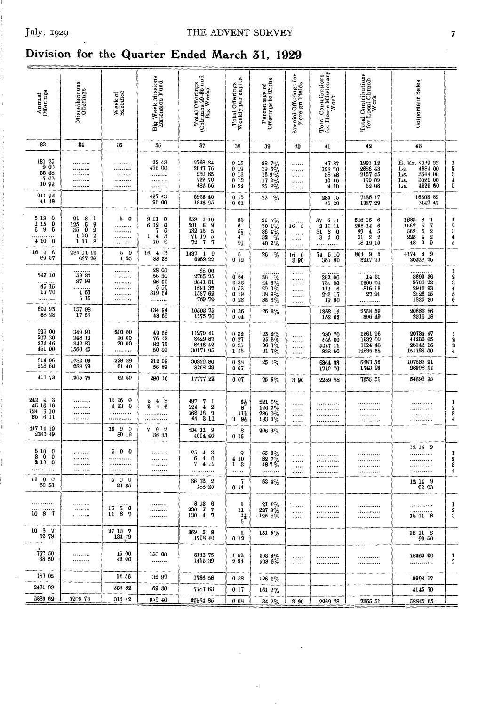# **Division for the Quarter Ended March 31, 1929**

| Annual<br>Offerings                                                                                                                    | Miscellaneous<br>Offerings                                                                          | Week of<br>Bacrifice      | Big Week Missions<br>Extension Fund                                                                         | Total Offerings<br>(Columns 29–35 und<br>Big Week)                                                                            | Total Offerings<br>Weekly per capita                                           | Percentage of<br>Offerings to Tithe                                                        | for<br>Special Offerings<br>Foreign Fields | Total Contributions<br>for Hor e Missionary<br>Work                         | Total Contributions<br>for Local Church<br>Work                                                                                                                          | Colporteur Sales                                                                                        |                                 |
|----------------------------------------------------------------------------------------------------------------------------------------|-----------------------------------------------------------------------------------------------------|---------------------------|-------------------------------------------------------------------------------------------------------------|-------------------------------------------------------------------------------------------------------------------------------|--------------------------------------------------------------------------------|--------------------------------------------------------------------------------------------|--------------------------------------------|-----------------------------------------------------------------------------|--------------------------------------------------------------------------------------------------------------------------------------------------------------------------|---------------------------------------------------------------------------------------------------------|---------------------------------|
| 33                                                                                                                                     | 34                                                                                                  | 35                        | 36                                                                                                          | 37                                                                                                                            | 38                                                                             | 39                                                                                         | 40                                         | 41                                                                          | 42                                                                                                                                                                       | 43                                                                                                      |                                 |
| 131 25<br>900<br>56 68<br>7 00<br>10 99                                                                                                | <br>.<br>.<br><br>                                                                                  | .<br><br>.                | 22 43<br>475 00<br>.                                                                                        | 2768 34<br>2047 76<br>930 85<br>732 79<br>483 66                                                                              | 0 15<br>019<br>013<br>$\begin{smallmatrix} 0 & 13 \\ 0 & 22 \end{smallmatrix}$ | $\begin{array}{l} 28\ 7\% \\ 19\ 6\% \\ 16\ 9\% \\ 17\ 2\% \\ 25\ 8\% \end{array}$         | <br><br>$\cdots$<br>$\ldots$<br>$\cdots$   | 4787<br>128 70<br>38 48<br>10 60<br>9 10                                    | 1931 12<br>2886 43<br>2157 45<br>$\begin{array}{r} 159 & 09 \\ 52 & 08 \end{array}$                                                                                      | E. Kr. 2029 33<br>4384 00<br>Ls.<br>3644 00<br>Ls.<br>3021 00<br>Ls.<br>4626 60<br>Lt.                  | 19345                           |
| 214 92<br>41 48                                                                                                                        |                                                                                                     |                           | 497 43<br>96 00                                                                                             | 6963 40<br>1343 95                                                                                                            | 0 <sub>15</sub><br>0 <sub>03</sub>                                             | $22\,$<br>-%                                                                               |                                            | 234 15<br>45 20                                                             | 7186 17<br>1387 29                                                                                                                                                       | 16303 89<br>3147 47                                                                                     |                                 |
| 5 13<br>$\ddot{\mathbf{0}}$<br>115<br>0<br>6<br>9<br>6<br>4100                                                                         | 21<br>3<br>1<br>6<br>9<br>125<br>35<br>$\bf{0}$<br>$\frac{2}{2}$<br>10<br>$\mathbf{1}$<br>8<br>1 11 | 5<br>$\mathbf{0}$<br><br> | 9110<br>6 12<br>$\mathbf 0$<br>7<br>$\mathbf{0}$<br>$\overline{\mathbf{4}}$<br>3<br>1<br>10<br>$\mathbf{0}$ | 659<br>1 10<br>$5\,$<br>$\frac{9}{5}$<br>501<br>132 15<br>71 19<br>72<br>$\mathbf{7}$<br>7                                    | 1号6号<br>$9\frac{1}{2}$                                                         | $\begin{array}{l} 21 \ 5 \%\ 30 \ 4 \%\ 36 \ 4 \%\ 32 \ 33 \ 48 \ 2 \% \end{array}$        | .<br>160<br>$\cdots$<br><br>.              | -6 11<br>37<br>2<br>11 11<br>31<br>8 <sub>0</sub><br>3<br>4<br>$\bf{0}$<br> | 518 15<br>$\begin{smallmatrix}6\6\6\5\5\0\end{smallmatrix}$<br>206 14<br>$\begin{array}{c} 29 \\ 21 \\ 31 \end{array}$ $\begin{array}{c} 4 \\ 2 \end{array}$<br>18 12 10 | 1683<br>8554<br>$\mathbf{1}$<br>$\frac{7}{2}$<br>1662<br>$\frac{562}{223}$<br>$\bf{0}$<br>43            | 1<br>$\frac{2}{5}$              |
| $18\,$<br>$\overline{\mathbf{7}}$<br>$\mathbf{6}$<br>89 37                                                                             | 284 11 10<br>897 76                                                                                 | 50<br>120                 | - 3<br>$\frac{4}{3}$<br>18<br>88 58                                                                         | $1437 \quad 1 \quad 0$<br>6989 22                                                                                             | 6<br>012                                                                       | %<br>26                                                                                    | 16 0<br>3 90                               | 74 5 10<br>361 80                                                           | 804 9 5<br>391777                                                                                                                                                        | 4174 3<br>- 9<br>20328 26                                                                               |                                 |
| 547 10<br>$\begin{array}{c} \begin{array}{c} \dots \\ 45 \end{array} \end{array} \begin{array}{c} \overline{15} \\ 17 \end{array}$<br> | 59 34<br>8799<br>4 50<br>6 15                                                                       |                           | 28 00<br>56 30<br>26 00<br>5 00<br>319 64<br>.                                                              | $\begin{array}{c} 28 \ \ 00 \\ 2765 \ \ 25 \end{array}$<br>3641 81<br>1691 37<br>1587 62<br>789 70                            | 064<br>036<br>0 <sub>52</sub><br>019<br>023                                    | $\begin{array}{c} 38 \\ 38 \\ 24 \\ 6\% \\ 29 \\ 38 \\ 9\% \\ 38 \\ 33 \\ 6\% \end{array}$ | .<br>.<br><br><br><br>$\ldots$             | 282 06<br>731 80<br>113 16<br>222 17<br>19 00                               | <br>14 31<br>1900 04<br>816 13<br>27 91<br>.                                                                                                                             | $3690$ 36<br>9701 22<br>$\begin{array}{c} 2910 & 93 \\ 2940 & 93 \\ 2526 & 15 \\ 1825 & 20 \end{array}$ | 123456                          |
| 609 95<br>68 28                                                                                                                        | 157 98<br>17 68                                                                                     |                           | 434 94<br>48 69                                                                                             | 10503 75<br>1175 76                                                                                                           | 036<br>004                                                                     | 26 3%                                                                                      |                                            | 1368 19<br>152 02                                                           | 2758 39<br>306 49                                                                                                                                                        | $\begin{array}{c} 20683\ \ 86 \\ 2316\ \ 18 \end{array}$                                                |                                 |
| 297 00<br>207 20<br>272 46<br>451 00                                                                                                   | 349 93<br>248 19<br>342 80<br>1560 45                                                               | 200 00<br>10 00<br>20 00  | 49 68<br>76 15<br>82 75<br>50 00                                                                            | 11270 41<br>8429 87<br>30171 95                                                                                               | 032<br>0.27<br>035<br>1 55                                                     | $\begin{array}{l} 25\;\; 2\% \\ 25\;\; 3\% \\ 26\;\; 7\% \\ 21\;\; 7\% \end{array}$        | <br><br>.<br>                              | 280 70<br>566 00<br>5447 11<br>838 60                                       | $\begin{array}{c} 1561\ 96 \\ 1932\ 00 \\ 1824\ 48 \\ 12835\ 88 \end{array}$                                                                                             | $\begin{array}{c} 20734 \ \ 47 \\ 44200 \ \ 05 \\ 28142 \ \ 16 \\ 151128 \ \ 00 \end{array}$            | $\frac{1}{2}$<br>$\bf{4}$       |
| $\begin{array}{c} 814 \ 86 \\ 218 \ 60 \end{array}$                                                                                    | 1082 09<br>288 79                                                                                   | 228 88<br>61 40           | 212 09<br>56 89                                                                                             | 30820 80<br>8268 29                                                                                                           | 028<br>007                                                                     | 25 3%                                                                                      |                                            | 6364 03<br>1710 76                                                          | 6487 56<br>1743 96                                                                                                                                                       | 107537 91<br>28908 04                                                                                   |                                 |
| 417 78                                                                                                                                 | 1205 73                                                                                             | 62 60                     | 290 16                                                                                                      | 17777 22                                                                                                                      | 007                                                                            | $255\%$                                                                                    | 390                                        | 2269 78                                                                     | 7355 51                                                                                                                                                                  | 54699 95                                                                                                |                                 |
| 242 4 3<br>45 16 10<br>124<br>6 10<br>35<br>6 11                                                                                       | <br><br>                                                                                            | 11 16 0<br>4 13 0         | 548<br>46<br>2<br>.                                                                                         | 497<br>7 <sub>1</sub><br>124<br>$\frac{2}{7}$<br>$\overline{4}$<br>$\begin{array}{c} 168 & 16 & 7 \\ 44 & 3 & 11 \end{array}$ | $6\frac{1}{2}$<br>8<br>11}<br>$9\frac{7}{2}$<br>3                              | $\begin{array}{r} 221\ 5\% \\ 126\ 5\% \\ 286\ 9\% \\ 193\ 2\% \end{array}$                | .<br>.<br>$\cdots$<br>                     |                                                                             | .<br><br>                                                                                                                                                                | .<br><br>.                                                                                              | 1<br>2<br>3<br>$\boldsymbol{4}$ |
| 447 14 10<br>2180 49                                                                                                                   |                                                                                                     | 90<br>16<br>80 12         | 792<br>36 33                                                                                                | 834 11 9<br>4064 40                                                                                                           | 8<br>016                                                                       | 206 3%                                                                                     |                                            |                                                                             |                                                                                                                                                                          |                                                                                                         |                                 |
| 5100<br>30<br>0<br>210 0                                                                                                               | <br><br>                                                                                            | 500                       | .<br>.<br>                                                                                                  | 25<br>$\begin{smallmatrix} 4 & 3 \\ 4 & 0 \end{smallmatrix}$<br>6<br>7<br>4 11<br>.                                           | 9<br>4 10<br>13<br>                                                            | $\begin{array}{c} 65\ 8\% \\ 82\ 7\% \\ 48\ 7\ \% \end{array}$<br>.                        | .<br><br>1.1.1.0<br>                       | <br><br>يتحدث والمتحدة                                                      | <br><br>                                                                                                                                                                 | 12 14 9<br>.<br><br><br>.                                                                               | 1<br>2<br>3<br>4                |
| 11 0 0<br>53 56                                                                                                                        |                                                                                                     | 500<br>24 35              |                                                                                                             | 38 13 2<br>188 25                                                                                                             | 7<br>014                                                                       | 63 4%                                                                                      |                                            |                                                                             |                                                                                                                                                                          | 12 14 9<br>62 03                                                                                        |                                 |
| <br>1087                                                                                                                               | <br><br>.                                                                                           | <br>1650<br>1187          | <br><br>                                                                                                    | 8 13 6<br>230 7 7<br>130 4 7                                                                                                  | 1<br>11<br>$^{41}_{6}$                                                         | $\begin{array}{c} 2\mathbf{I} \\ 227 \\ 296 \\ \mathbf{I}25 \\ 8 \% \end{array}$           | <br>$\sim$ $\sim$ $\sim$<br>$\ldots$       | <br><br>                                                                    | <br>.<br>************                                                                                                                                                    | .<br>18 11 8                                                                                            | 1<br>2<br>3                     |
| 10 8 7<br>50 79                                                                                                                        |                                                                                                     | 27 13 7<br>134 79         |                                                                                                             | 369 5 8<br>1798 40                                                                                                            | 1<br>012                                                                       | 151 5%                                                                                     |                                            |                                                                             |                                                                                                                                                                          | 18 11 8<br>90 50                                                                                        |                                 |
| 767 50<br>68 50                                                                                                                        | *********<br>*********                                                                              | 12 00<br>42 00            | 150 00<br>                                                                                                  | 6123 75<br>1415 39                                                                                                            | 152<br>294                                                                     | $103.4\%$<br>498 6%                                                                        | بينت<br>.                                  | <br><b>.</b>                                                                | <br>                                                                                                                                                                     | 18220 00<br>                                                                                            | 1<br>$\boldsymbol{2}$           |
| 187 05                                                                                                                                 |                                                                                                     | 14 56                     | 32 97                                                                                                       | 1736 58                                                                                                                       | 0.38                                                                           | 126 1%                                                                                     |                                            |                                                                             |                                                                                                                                                                          | 8993 17                                                                                                 |                                 |
| 2471 89                                                                                                                                |                                                                                                     | 253 82                    | 69 30                                                                                                       | 7787 63                                                                                                                       | 0 17                                                                           | 161 2%                                                                                     |                                            |                                                                             |                                                                                                                                                                          | 4145 70                                                                                                 |                                 |
| 2889 62                                                                                                                                | 1205 73                                                                                             | 316 42                    | 359 46                                                                                                      | 25564 85                                                                                                                      | 008                                                                            | 34 2%                                                                                      | 3 90                                       | 2269 78                                                                     | 7355 51                                                                                                                                                                  | 58845 65                                                                                                |                                 |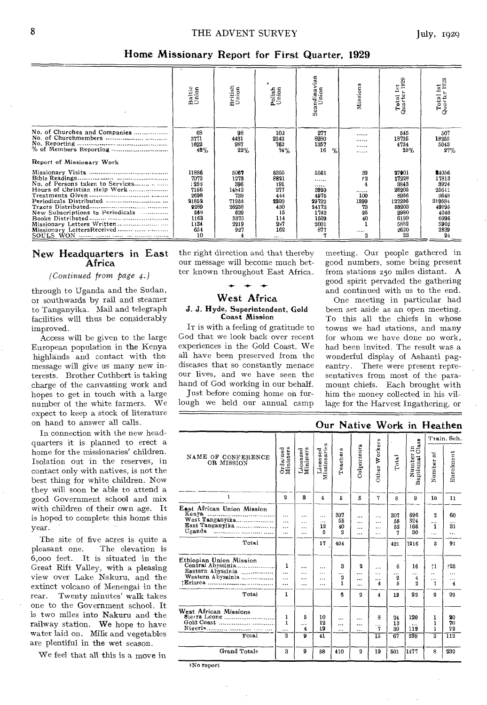#### Home Missionary Report for First Quarter, 1929

|                                                                                                | Baltic<br>Union                                                                             | British<br>Union                                                                    | Polish<br>Union                                                                         | Scandinavian<br>Union                                                         | Mission                                                 | <u>ද</u><br>1929<br>Total<br>Quarter                                                                | $\frac{1}{928}$<br>en —<br>Total<br>Quarte                                                        |
|------------------------------------------------------------------------------------------------|---------------------------------------------------------------------------------------------|-------------------------------------------------------------------------------------|-----------------------------------------------------------------------------------------|-------------------------------------------------------------------------------|---------------------------------------------------------|-----------------------------------------------------------------------------------------------------|---------------------------------------------------------------------------------------------------|
| No. of Churches and Companies<br>Report of Missionary Work                                     | 68<br>3771<br>1622<br>48%                                                                   | 98<br>4431<br>987<br>22%                                                            | 102<br>2243<br>762<br>34%                                                               | 277<br>8280<br>1357<br>16<br>$\%$                                             | <br><br><br>                                            | 545<br>18725<br>4734<br>25%                                                                         | 507<br>18255<br>5043<br>27%                                                                       |
| Hours of Christian Help Work<br>New Subscriptions to Periodicals<br>Missionary LettersReceived | 11886<br>7072<br>: 252<br>7166<br>2698<br>21852<br>2289<br>568<br>1163<br>1134<br>654<br>10 | 5067<br>1273<br>396<br>14842<br>739<br>71933<br>26238<br>629<br>3373<br>2219<br>927 | 5355<br>8821<br>191<br>277<br>444<br>2800<br>430<br>15<br>114<br>297<br>162<br>$\cdots$ | 5561<br><br><br>3920<br>4975<br>29722<br>24173<br>1743<br>1509<br>2001<br>877 | 32<br>f2<br><br>100<br>1399<br>73<br>25<br>40<br>.<br>2 | 27901<br>17228<br>5843<br>26205<br>8956<br>127206<br>53203<br>2980<br>6199<br>5852<br>$-2620$<br>23 | \$4056<br>17813<br>3924<br>25611<br>3648<br>219584<br>49295<br>4040<br>6996<br>5902<br>2839<br>24 |

#### New Headquarters in East Africa

#### *(Continued from page 4.)*

through to Uganda and the Sudan, or southwards by rail and steamer to Tanganyika. Mail and telegraph facilities will thus be considerably improved.

Access will be given to the large European population in the Kenya highlands and contact with the message will give us many new interests. Brother Cuthbert is taking charge of the canvassing work and hopes to get in touch with a large number of the white farmers. We expect to keep a stock of literature on hand to answer all calls.

In connection with the new headquarters it is planned to erect a home for the missionaries' children. Isolation out in the reserves, in contact only with natives, is not the best thing for white children. Now they will soon be able to attend a good Government school and mix with children of their own age. It is hoped to complete this home this year.

The site of five acres is quite a<br>pleasant one. The elevation is The elevation is 6,000 feet. It is situated in the Great Rift Valley, with a pleasing view over Lake Nakuru, and the extinct volcano of Menengai in the<br>rear. Twenty minutes' walk takes Twenty minutes' walk takes one to the Government school. It is two miles into Nakuru and the railway station. We hope to have water laid on. Milk and vegetables are plentiful in the wet season.

We feel that all this is a move in

the right direction and that thereby our message will become much better known throughout East Africa.

### West Africa

#### J. J. Hyde, Superintendent, Gold Coast Mission

IT is with a feeling of gratitude to God that we look back over recent experiences in the Gold Coast. We all have been preserved from the diseases that so constantly menace our lives, and we have seen the hand of God working in our behalf.

Just before coming home on furlough we held our annual camp meeting. Our people gathered in good numbers, some being present from stations z5o miles distant. A good spirit pervaded the gathering and continued with us to the end.

One meeting in particular had been set aside as an open meeting. To this all the chiefs in whose towns we had stations, and many for whom we have done no work, had been invited. The result was a wonderful display of Ashanti pageantry. There were present representatives from most of the paramount chiefs. Each brought with him the money collected in his village for the Harvest Ingathering, or

|                                                                                                  |                                          |                                              |                                |                                          | Our Native Work in Heathen           |                             |                               |                                    |                                                   |                                                          |
|--------------------------------------------------------------------------------------------------|------------------------------------------|----------------------------------------------|--------------------------------|------------------------------------------|--------------------------------------|-----------------------------|-------------------------------|------------------------------------|---------------------------------------------------|----------------------------------------------------------|
|                                                                                                  |                                          |                                              |                                |                                          |                                      |                             |                               |                                    |                                                   | Train. Sch.                                              |
| NAME OF CONFERENCE<br>OR MISSION                                                                 | Ordained<br>Ministers                    | Licensed<br>Ministers                        | Licensed<br>Missionaries       | Teachers                                 | Colporteurs                          | Other Workers               | Total                         | $O1a$ sa<br>Number in<br>Baptismal | õ<br>Number                                       | Enrolment                                                |
| $\mathbf{I}$                                                                                     | $\mathbf{2}$                             | 3                                            | $\overline{4}$                 | 5                                        | 6                                    | 7                           | 8                             | 9                                  | 10                                                | 11                                                       |
| East African Union Mission<br>Kenya<br>West Tanganyika<br>East Tanganyika<br>Uganda<br><br>Total | $\cdots$<br>$\ddotsc$<br>$\ddotsc$<br>ä. | <br>$\cdots$<br>$\ldots$<br>                 | .<br>$\cdots$<br>12<br>5<br>17 | 307<br>55<br>40<br>$\overline{2}$<br>404 | .<br>.<br>$\ddotsc$<br>$\ddotsc$     | <br>$\cdot$<br><br>$\cdots$ | 307<br>55<br>52<br>7<br>421   | 696<br>324<br>166<br>30<br>1216    | $\boldsymbol{2}$<br><br>1<br>.<br>3               | 60<br>31<br>٠.,<br>91                                    |
| Ethiopian Union Mission<br>Central Abyssinia<br>Eastern Abyssinia<br>Western Abyssinia<br>Total  | 1<br>$\ddotsc$<br>$\cdots$<br><br>1      | <br>$\cdots$<br>$\ddotsc$<br>$\cdot$ $\cdot$ | <br>$\cdots$<br><br>$\ddotsc$  | 3<br><br>2<br>ŧ<br>ĥ.                    | $\mathbf 2$<br>$\cdots$<br><br><br>2 | .<br>$\cdots$<br><br>4<br>4 | 6<br>$\cdots$<br>2<br>5<br>13 | 16<br>$\cdots$<br>4<br>2<br>22     | t1<br><br>.<br>1<br>$\overline{2}$                | $+25$<br>$\ddotsc$<br>.<br>4<br>29                       |
|                                                                                                  |                                          |                                              |                                |                                          |                                      |                             |                               |                                    |                                                   |                                                          |
| West African Missions<br>Total                                                                   | 1<br>1<br><br>$\overline{2}$             | 5<br><br>4<br>$\overline{\mathbf{9}}$        | 10<br>12<br>19<br>41           | <br>.<br>.                               | .<br><br>.                           | 8<br>.<br>7<br>15           | 24<br>13<br>30<br>67          | 120<br>.<br>119<br>239             | 1<br>1<br>$\mathbf{I}$<br>$\overline{\mathbf{a}}$ | 20<br>70<br>22<br>$\overline{1}\overline{1}\overline{2}$ |
| <b>Grand Totals</b>                                                                              | $\mathbf{a}$                             | 9                                            | 58                             | 410                                      | $\boldsymbol{2}$                     | 19                          | 501                           | 1477                               | 8                                                 | 232                                                      |

}No report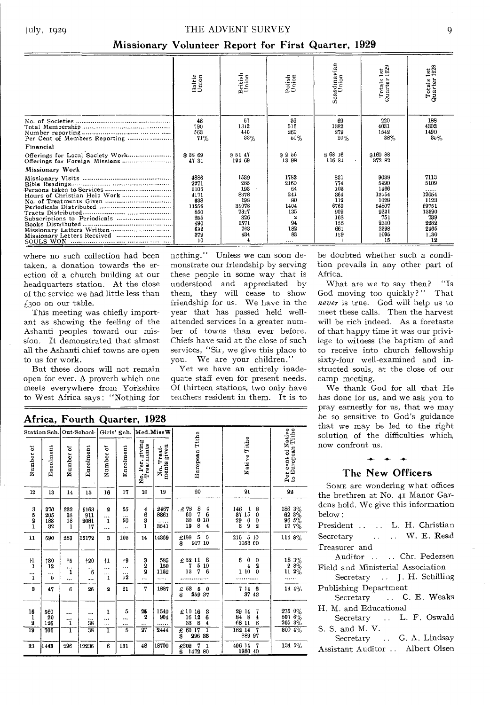#### THE ADVENT SURVEY

#### Missionary Volunteer Report for First Quarter, 1929

|                              | Baltic<br>Union                                                                       | British<br>Union                                                                | Polish<br>Union                                                       | Scandinavian<br>Union                                                      | Totals 1st<br>Quarter 1929                                                                  | Totals 1st<br>Quarter 1928                                                                |
|------------------------------|---------------------------------------------------------------------------------------|---------------------------------------------------------------------------------|-----------------------------------------------------------------------|----------------------------------------------------------------------------|---------------------------------------------------------------------------------------------|-------------------------------------------------------------------------------------------|
|                              | 48<br>790<br>563<br>71%                                                               | 67<br>1313<br>440<br>33%                                                        | 36<br>516<br>260<br>50%                                               | 69<br>1882<br>279<br>20%                                                   | 220<br>4031<br>1542<br>38%                                                                  | 188<br>4303<br>1490<br>35%                                                                |
| Financial                    |                                                                                       |                                                                                 |                                                                       |                                                                            |                                                                                             |                                                                                           |
|                              | \$38 69<br>47 31                                                                      | \$5147<br>194 69                                                                | $\approx 2$ 56<br>13 98                                               | \$6816<br>116.84                                                           | \$160 88<br>372 82                                                                          |                                                                                           |
| Missionary Work              |                                                                                       |                                                                                 |                                                                       |                                                                            |                                                                                             |                                                                                           |
| Hours of Christian Help Work | 4886<br>2271<br>1106<br>4171<br>638<br>11556<br>850<br>255<br>490<br>692<br>379<br>10 | 1539<br>285<br>193<br>8378<br>198<br>35078<br>7327<br>326<br>1571<br>763<br>434 | 1782<br>2160<br>64<br>241<br>80<br>1404<br>135<br>94<br>182<br>83<br> | 831<br>774<br>103<br>364<br>112<br>6769<br>909<br>168<br>155<br>661<br>199 | 9038<br>5490<br>1466<br>13154<br>1028<br>54807<br>9221<br>751<br>2310<br>2298<br>1095<br>15 | 7113<br>5109<br>.<br>12054<br>1123<br>69751<br>13590<br>739<br>2282<br>2405<br>1130<br>12 |

where no such collection had been taken, a donation towards the erection of a church building at our headquarters station. At the close of the service we had little less than  $f$ 300 on our table.

This meeting was chiefly important as showing the feeling of the Ashanti peoples toward our mission. It demonstrated that almost all the Ashanti chief towns are open to us for work.

But these doors will not remain open for ever. A proverb which one meets everywhere from Yorkshire to West Africa says: "Nothing for

Africa, Fourth Quarter, 1928

| nothing." Unless we can soon de-      |
|---------------------------------------|
| monstrate our friendship by serving   |
| these people in some way that is      |
| understood and appreciated by         |
| them, they will cease to show         |
| friendship for us. We have in the     |
| year that has passed held well-       |
| attended services in a greater num-   |
| ber of towns than ever before.        |
| Chiefs have said at the close of such |
| services, "Sir, we give this place to |
| you. We are your children."           |

Yet we have an entirely inadequate staff even for present needs. Of thirteen stations, two only have teachers resident in them. It is to be doubted whether such a condition prevails in any other part of Africa.

What are we to say then? "Is God moving too quickly?" That never is true. God will help us to meet these calls. Then the harvest will be rich indeed. As a foretaste of that happy time it was our privilege to witness the baptism of and to receive into church fellowship sixty-four well-examined and instructed souls, at the close of our camp meeting.

We thank God for all that He has done for us, and we ask you to pray earnestly for us, that we may be so sensitive to God's guidance that we may be led to the right solution of the difficulties which now confront us.

#### The New Officers

SOME are wondering what offices the brethren at No. 41 Manor Gardens hold. We give this information below:

|                                                       | itation Sch.            |                                 | Out-School   Girls' Sch.   Med. Miss W |                           |                    |                                           |                           |                                                                                                                                              |                                                                                                                           |                                                                          |
|-------------------------------------------------------|-------------------------|---------------------------------|----------------------------------------|---------------------------|--------------------|-------------------------------------------|---------------------------|----------------------------------------------------------------------------------------------------------------------------------------------|---------------------------------------------------------------------------------------------------------------------------|--------------------------------------------------------------------------|
| Number of                                             | Enrolment               | Number of                       | Enrolment                              | Number of                 | Enrolment          | No. Per. giving<br>Treatments             | No. Treat-<br>ments given | Tithe<br>European                                                                                                                            | Native Tithe                                                                                                              | Per cont of Native<br>to European Tithe                                  |
| 12                                                    | 13                      | 14                              | 15                                     | 16                        | 17                 | 18                                        | 19                        | 20                                                                                                                                           | 21                                                                                                                        | 22                                                                       |
| $\frac{3}{5}$<br>$\mathbf{I}$                         | 270<br>205<br>183<br>32 | 232<br>38<br>18<br>$\mathbf{1}$ | 9163<br>911<br>2081<br>17              | 2<br><br>$\mathbf{1}$<br> | 55<br>50<br>       | $\frac{4}{6}$<br>$\mathbf{1}$             | 2467<br>8361<br>.<br>3541 | $\frac{8}{7}$<br>$\begin{array}{c} 2.78 \\ 60 \end{array}$<br>$\frac{4}{6}$<br>Ó<br>30<br>10<br>8<br>19<br>$\overline{4}$                    | 146<br>8<br>1<br>37<br>15<br>$\bf{0}$<br>$\frac{29}{3}$<br>$\bf{0}$<br>$\bf{0}$<br>ġ<br>$\overline{2}$                    | $\begin{array}{r} 186\ 3\% \\ 62\ 3\% \\ 96\ 5\% \\ 17\ 7\% \end{array}$ |
| 11                                                    | 690                     | 289                             | 12172                                  | 3                         | 105                | 14                                        | 14369                     | 5<br>£188<br>$\mathbf{0}$<br>917 10<br>\$                                                                                                    | 216<br>5 10<br>1053 00                                                                                                    | 114 8%                                                                   |
| $\frac{11}{1}$<br><br>$\mathbf{1}$                    | 130<br>12<br><br>5      | $+5$<br><br>1<br>               | $+20$<br>٠.<br>6<br>$\cdots$           | $+1$<br><br>$\ldots$<br>1 | $+9$<br><br><br>12 | 3<br>$\overline{2}$<br>$\overline{2}$<br> | 585<br>150<br>1152        | £ 32 11<br>8<br>7<br>5<br>10<br>13<br>6<br>7                                                                                                 | 6<br>0<br>0<br>2<br>4<br>110<br>$\bf{0}$                                                                                  | $\begin{array}{c} 18\ 3 \% \\ 2\ 8 \% \\ 11\ 2 \% \end{array}$           |
| 3                                                     | 47                      | 6                               | 26                                     | $\boldsymbol{2}$          | $^{21}$            | 7                                         | 1887                      | £53<br>5<br>$\bf{0}$<br>259 37<br>S                                                                                                          | $\begin{array}{cc} 7 & 14 & 2 \\ 37 & 43 \end{array}$                                                                     | 14 4%                                                                    |
| 16<br>ı<br>$\overline{\mathbf{2}}$<br>$\overline{19}$ | 560<br>20<br>126<br>706 | <br><br>1<br>ī                  | $\cdots$<br><br>38<br>38               | ı<br><br>$\cdots$<br>1    | 5<br><br><br>5     | 25<br>2<br>$\overline{27}$                | 1540<br>904<br>2444       | $\begin{array}{c} \pounds 10 \ 16 \\ 16 \ 12 \end{array}$<br>3<br>6<br>33<br>8<br>$\overline{\mathbf{4}}$<br>60 17<br>1<br>£<br>\$<br>296 33 | $\begin{array}{c} 29 \\ 84 \end{array}$<br>14<br>7<br>ā<br>$\overline{\mathbf{4}}$<br>68 11<br>8<br>182 14<br>7<br>889 97 | $_{6\%}^{0\%}$<br>$\substack{275 \\ 507}$<br>$205\,3\%$<br>$800\;4\%$    |
| 33                                                    | 1448                    | 296                             | 12236                                  | 6                         | 131                | 48                                        | 18700                     | 7<br>£302<br>1<br>g,<br>1472<br>80                                                                                                           | 406 14<br>7<br>1980 40                                                                                                    | 134 5%                                                                   |

#### President .. . . L. H. Christian  $W$  E Read  $C_{\alpha\alpha\tau\alpha}$

| ovon v can y          |  |  |  |
|-----------------------|--|--|--|
| $\Gamma$ reasurer and |  |  |  |
|                       |  |  |  |

Auditor . . . Chr. Pedersen Field and Ministerial Association

Secretary ... J. H. Schilling Publishing Department

.. C. E. Weaks Secretary H. M. and Educational

Secretary .. L. F. Oswald S. S. and M. V.

Secretary .. G. A. Lindsay Assistant Auditor . Albert Olsen

9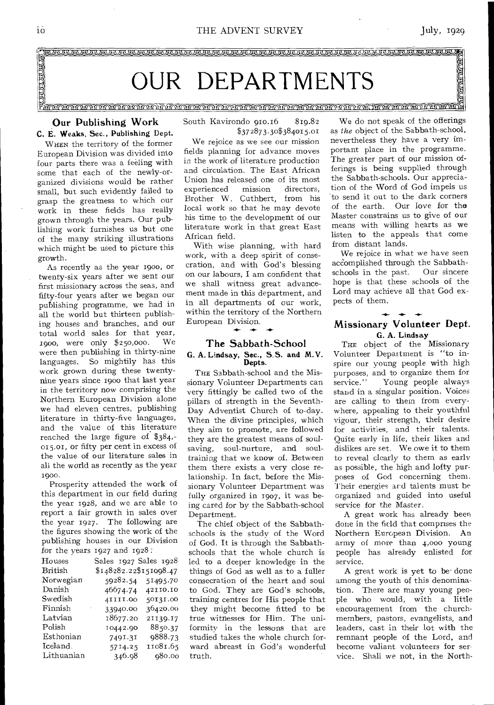$\sum_{i=1}^n$ 

**IVIZ)WITUNKNIVIT3rryc)ZZ:34• 9999 MIN1M •** 

## OUR DEPARTMENTS

",".,,"",, In 'rill rntiThntinuntinlintTnitin- n- i?n — n.1 —y r yt-1, tn. tnunttni. CVTAitn.Wd — — — — **4** 

#### Our Publishing Work C. E. Weaks, Sec., Publishing Dept.

WHEN the territory of the former European Division was divided into four parts there was a feeling with some that each of the newly-organized divisions would be rather small, but such evidently failed to grasp the greatness to which our work in these fields has really grown through the years. Our publishing work furnishes us but one of the many striking illustrations which might be used to picture this growth.

As recently as the year 190o, or twenty-six years after we sent our first missionary across the seas, and fifty-four years after we began our publishing programme, we had in all the world but thirteen publishing houses and branches, and our total world sales for that year,<br>roop were only \$250,000. We 1900, were only \$250,000. were then publishing in thirty-nine languages. So mightily has this work grown during these twentynine years since 1900 that last year in the territory now comprising the Northern European Division alone we had eleven centres, publishing literature in thirty-five languages, and the value of this literature reached the large figure of \$384,- 015.01, or fifty per cent in excess of the value of our literature sales in ali the world as recently as the year 1900.

Prosperity attended the work of this department in our field during the year 1928, and we are able to report a fair growth in sales over the year 1927. The following are the figures showing the work of the publishing houses in our Division for the years 1927 and 1928:

| Houses         | Sales 1927 Sales 1928  |          |
|----------------|------------------------|----------|
| <b>British</b> | \$148282.22\$151098.47 |          |
| Norwegian      | 59282.54               | 51495.70 |
| Danish         | 46674.74               | 42110.10 |
| Swedish        | 4IIII.00               | 50131.00 |
| Finnish        | 33940.00               | 36420.00 |
| Latvian        | 18677.20               | 21139.17 |
| Polish         | 10442.90               | 8850.37  |
| Esthonian      | 7491.31                | 9888.73  |
| Iceland.       | 5714.25                | 11081.65 |
| Lithuanian     | 346.98                 | 980.00   |

South Kavirondo 910.16 819.82 \$372873.30\$384015.01

We rejoice as we see our mission fields planning for advance moves in the work of literature production and circulation. The East African Union has released one of its most<br>experienced mission directors. experienced Brother W. Cuthbert, from his local work so that he may devote his time to the development of our literature work in that great East African field.

With wise planning, with hard work, with a deep spirit of consecration, and with God's blessing on our labours, I am confident that we shall witness great advancement made in this department, and in all departments of our work, within the territory of the Northern European Division.

**-4- -4- -4-** 

#### The Sabbath-School

# G. A. Lindsay, Sec., S.S. and M.V. Depts.

THE Sabbath-school and the Missionary Volunteer Departments can very fittingly be called two of the pillars of strength in the Seventh-Day Adventist Church of to-day. When the divine principles, which they aim to promote, are followed they are the greatest means of soulsaving, soul-nurture, and soultraining that we know of. Between them there exists a very close relationship. In fact, before the Missionary Volunteer Department was fully organized in 1907, it was being cared for by the Sabbath-school Department.

The chief object of the Sabbathschools is the study of the Word of God. It is through the Sabbathschools that the whole church is led to a deeper knowledge in the things of God as well as to a fuller consecration of the heart and soul to God. They are God's schools, training centres for His people that they might become fitted to be true witnesses for Him. The uniformity in the lessons that are studied takes the whole church forward abreast in God's wonderful truth.

We do not speak of the offerings as *the* object of the Sabbath-school, nevertheless they have a very important place in the programme. The greater part of our mission offerings is being supplied through the Sabbath-schools. Our appreciation of the Word of God impels us to send it out to the dark corners of the earth. Our love for the Master constrains us to give of our means with willing hearts as we listen to the appeals that come from distant lands.

We rejoice in what we have seen accomplished through the Sabbathschools in the past. Our sincere hope is that these schools of the Lord may achieve all that God expects of them.

#### Missionary Volunteer Dept. G. A. Lindsay

THE object of the Missionary Volunteer Department is "to inspire our young people with high purposes, and to organize them for<br>service." Young people always Young people always stand in a singular position. Voices are calling to them from everywhere, appealing to their youthful vigour, their strength, their desire for activities, and their talents. Quite early in life, their likes and dislikes are set. We owe it to them to reveal clearly to them as early as possible, the high and lofty purposes of God concerning them. Their energies ard talents must be organized and guided into useful service for the Master.

A great work has already been done in the field that comprises the Northern European Division. An army of more than 4,00o young people has already enlisted for service.

A great work is yet to be• done among the youth of this denomination. There are many young people who would, with a little encouragement from the churchmembers, pastors, evangelists, and leaders, cast in their lot with the remnant people of the Lord, and become valiant volunteers for service. Shall we not, in the North-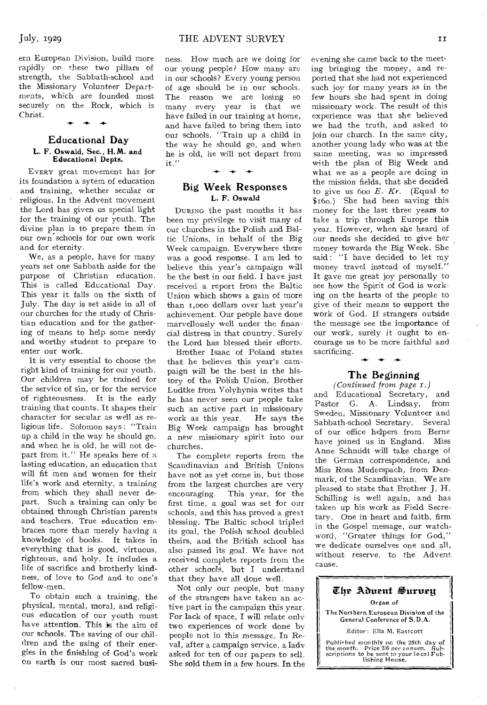ern European Division, build more rapidly on these two pillars of strength, the Sabbath-school and the Missionary Volunteer Departments, which are founded most securely on the Rock, which is Christ.  $\ddot{\phantom{1}}$ 

#### Educational Day **L.** F. Oswald, Sec., H.M. and Educational Depts.

EVERY great movement has for its foundation a sytem of education and training, whether secular or religious. In the Advent movement the Lord has given us special light for the training of our youth. The divine plan is to prepare them in our own schools for our own work and for eternity.

We, as a people, have for many years set one Sabbath aside for the purpose of Christian education. This is called Educational Day. This year it falls on the sixth of July. The day is set aside in all of our churches for the study of Christian education and for the gathering of means to help some needy and worthy student to prepare to enter our work.

It is very essential to choose the right kind of training for our youth. Our children may be trained for the service of sin, or for the service of righteousness. It is the early training that counts. It shapes their character for secular as well as religious life. Solomon says : "Train up a child in the way he should go, and when he is old, he will not depart from it." He speaks here of a lasting education, an education that will fit men and women for their life's work and eternity, a training from which they shall never depart. Such a training can only be obtained through Christian parents and teachers. True education embraces more than merely having a knowledge of books. It takes in everything that is good, virtuous, righteous, and holy. It includes a life of sacrifice and brotherly kindness, of love to God and to one's fellow-men.

To obtain such a training, the physical, mental, moral, and religious education of our youth must have attention. This is the aim of our schools. The saving of our children and, the using of their energies in the finishing of God's work on earth is our most sacred busi-

ness. How much are we doing for our young people? How many are in our schools? Every young person of age should be in our schools. The reason we are losing so many every year is that we have failed in our training at home, and have failed to bring them into our schools. "Train up a child in the way he should go, and when he is old, he will not depart from it."

#### Big Week Responses **L. F.** Oswald

 $+ +$ 

DURING the past months it has been my privilege to visit many of our churches in the Polish and Baltic Unions, in behalf of the Big Week campaign. Everywhere there was a good response. I am led to believe this year's campaign will be the best in our field. I have just received a report from the Baltic Union which shows a gain of more than r,000 dollars over last year's achievement. Our people have done marvellously well under the financial distress in that country. Surely the Lord has blessed their efforts.

Brother Isaac of Poland states that he believes this year's campaign will be the best in the history of the Polish Union. Brother Ludtke from Volyhynia writes that he has never seen our people take such an active part in missionary<br>work as this year. He says the work as this year. Big Week campaign has brought a new missionary spirit into our churches.

The complete reports from the Scandinavian and British Unions have not as yet come in, but those from the largest churches are very encouraging. This year, for the first time, a goal was set for our schools, and this has proved a great blessing. The Baltic school tripled its goal, the Polish school doubled theirs, and the British school has also passed its goal. We have not received complete reports from the other schools, but I understand that they have all done well.

Not only our people, but many of the strangers have taken an active part in the campaign this year. For lack of space, I will relate only two experiences of work done by people not in this message. In Reval, after a campaign service, a lady asked for ten of our papers to sell. She sold them in a few hours. In the

evening she came back to the meeting bringing the money, and reported that she had not experienced such joy for many years as in the few hours she had spent in doing missionary work. The result of this experience was that she believed we had the truth, and asked to join our church. In the same city, another young lady who was at the same meeting, was so impressed with the plan of Big Week and what we as a people are doing in the mission fields, that she decided to give us  $600 E$ . Kr. *(Equal to* \$16o.) She had been saving this money for the last three years to take a trip through Europe this year. However, when she heard of our needs she decided to give her money towards the Big Week. She said : "I have decided to let my money travel instead of myself." It gave me great joy personally to see how the Spirit of God is working on the hearts of the people to give of their means to support the work of God. If strangers outside the message see the importance of our work, surely it ought to encourage us to be more faithful and sacrificing. **-4- -4- -4-** 

#### The Beginning

*(Continued from page r.)*  and Educational Secretary, and Pastor G. A. Lindsay, from Sweden, Missionary Volunteer and Sabbath-school Secretary. Several of our office helpers from Berne have joined us in England. Miss Anne Schmidt will take charge of the German correspondence, and Miss Rosa Muderspach, from Denmark, of the Scandinavian. We are pleased to state that Brother J. H. Schilling is well again, and has taken up his work as Field Secretary. One in heart and faith, firm in the Gospel message, our watchword, "Greater things for God," we dedicate ourselves one and all, without reserve, to the Advent cause.

#### The Aduent Surueu Organ of The Northern European Division of the General Conference of S.D.A.

Editor: Ella M. Eastcott

Published monthly on the 25th day of<br>the month. Price 2/6 per annum. Sub-<br>scriptions to be sent to your local Pub-<br>lishing Hou**se.**